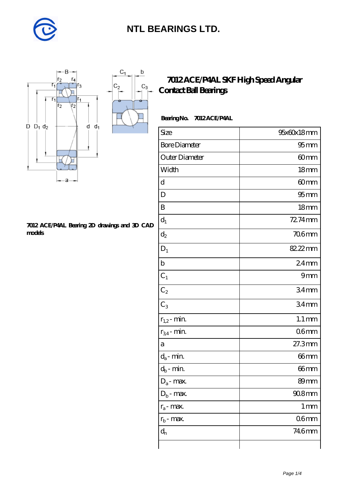

 $\mathbf b$ 

П

 $C_3$ 



#### **[7012 ACE/P4AL Bearing 2D drawings and 3D CAD](https://diabetesfriends.net/pic-590682.html) [models](https://diabetesfriends.net/pic-590682.html)**

### **[7012 ACE/P4AL SKF High Speed Angular](https://diabetesfriends.net/skf-bearing/7012-ace-p4al.html) [Contact Ball Bearings](https://diabetesfriends.net/skf-bearing/7012-ace-p4al.html)**

#### **Bearing No. 7012 ACE/P4AL**

| Size                       | 95x60x18mm         |
|----------------------------|--------------------|
| <b>Bore Diameter</b>       | 95 <sub>mm</sub>   |
| Outer Diameter             | 60mm               |
| Width                      | 18 <sub>mm</sub>   |
| d                          | 60mm               |
| D                          | 95 <sub>mm</sub>   |
| B                          | 18 <sub>mm</sub>   |
| $d_1$                      | 72.74mm            |
| $\mathrm{d}_2$             | 706mm              |
| $D_1$                      | 82.22mm            |
| $\mathbf b$                | $24$ mm            |
| $C_1$                      | 9mm                |
| $C_2$                      | 34mm               |
| $\overline{C_3}$           | 34 <sub>mm</sub>   |
| $r_{1,2}$ - min.           | $1.1 \, \text{mm}$ |
| $r_{34}$ - min.            | 06 <sub>mm</sub>   |
| a                          | 27.3mm             |
| $d_a$ - min.               | 66mm               |
| $d_b\operatorname{-} \min$ | 66mm               |
| $D_a$ - max.               | 89mm               |
| $D_b$ - max.               | $908$ mm           |
| $r_a$ - max.               | $1 \,\mathrm{mm}$  |
| $r_{\rm b}$ - max.         | 06 <sub>mm</sub>   |
| $d_{n}$                    | 746mm              |
|                            |                    |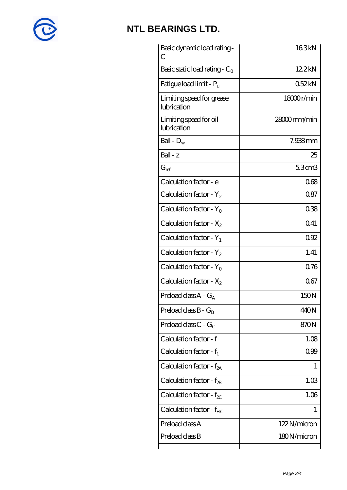

| Basic dynamic load rating -<br>С         | 163kN       |
|------------------------------------------|-------------|
| Basic static load rating - $C_0$         | 122kN       |
| Fatigue load limit - $P_{\rm u}$         | 052kN       |
| Limiting speed for grease<br>lubrication | 18000r/min  |
| Limiting speed for oil<br>lubrication    | 28000mm/min |
| Ball - $D_w$                             | 7.938mm     |
| $Ball - z$                               | 25          |
| $G_{ref}$                                | 5.3cm3      |
| Calculation factor - e                   | 068         |
| Calculation factor - $Y_2$               | 087         |
| Calculation factor - $Y_0$               | 038         |
| Calculation factor - $X_2$               | 041         |
| Calculation factor - $Y_1$               | 092         |
| Calculation factor - $Y_2$               | 1.41        |
| Calculation factor - $Y_0$               | 0.76        |
| Calculation factor - $X_2$               | 067         |
| Preload class $A - G_A$                  | 150N        |
| Preload class $B - G_B$                  | 440N        |
| Preload class C - $G_C$                  | 870N        |
| Calculation factor - f                   | 1.08        |
| Calculation factor - $f_1$               | 099         |
| Calculation factor - $f_{2A}$            | 1           |
| Calculation factor - $f_{\mathcal{B}}$   | 1.03        |
| Calculation factor - $f_{\chi}$          | 1.06        |
| Calculation factor - $f_{HC}$            | 1           |
| Preload class A                          | 122N/micron |
| Preload class B                          | 180N/micron |
|                                          |             |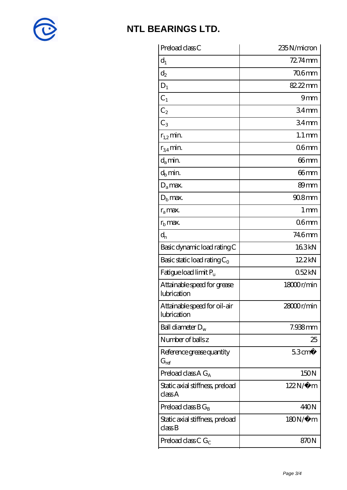

| 72.74mm              |
|----------------------|
| 706mm                |
| 82.22mm              |
| 9mm                  |
| 34 <sub>mm</sub>     |
| 34 <sub>mm</sub>     |
| $1.1 \,\mathrm{mm}$  |
| 06 <sub>mm</sub>     |
| 66mm                 |
| 66 <sub>mm</sub>     |
| 89 <sub>mm</sub>     |
| $908$ mm             |
| $1 \,\mathrm{mm}$    |
| 06 <sub>mm</sub>     |
| 746mm                |
| 163kN                |
| 12.2kN               |
| 052kN                |
| 18000r/min           |
| 28000r/min           |
| 7.938mm              |
| 25                   |
| $53$ cm <sup>3</sup> |
| 150N                 |
| $122N/\mu$ m         |
| 440N                 |
| $180N/\mu$ m         |
|                      |
|                      |